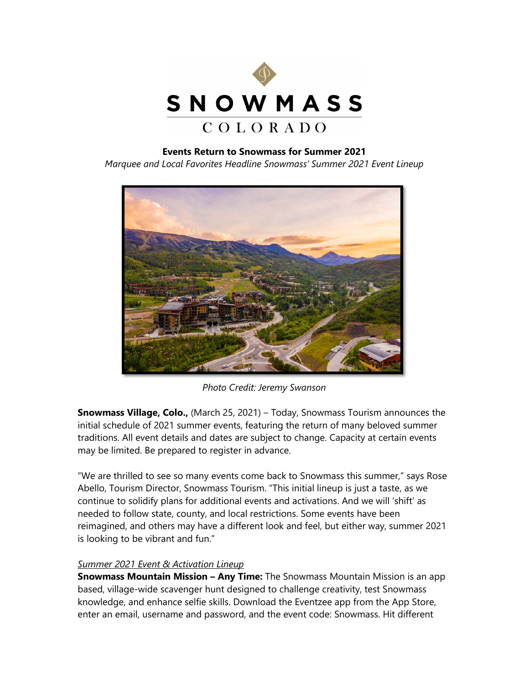

## **Events Return to Snowmass for Summer 2021**

*Marquee and Local Favorites Headline Snowmass' Summer 2021 Event Lineup*



*Photo Credit: Jeremy Swanson*

**Snowmass Village, Colo.,** (March 25, 2021) – Today, Snowmass Tourism announces the initial schedule of 2021 summer events, featuring the return of many beloved summer traditions. All event details and dates are subject to change. Capacity at certain events may be limited. Be prepared to register in advance.

"We are thrilled to see so many events come back to Snowmass this summer," says Rose Abello, Tourism Director, Snowmass Tourism. "This initial lineup is just a taste, as we continue to solidify plans for additional events and activations. And we will 'shift' as needed to follow state, county, and local restrictions. Some events have been reimagined, and others may have a different look and feel, but either way, summer 2021 is looking to be vibrant and fun."

## *Summer 2021 Event & Activation Lineup*

**Snowmass Mountain Mission – Any Time:** The Snowmass Mountain Mission is an app based, village-wide scavenger hunt designed to challenge creativity, test Snowmass knowledge, and enhance selfie skills. Download the Eventzee app from the App Store, enter an email, username and password, and the event code: Snowmass. Hit different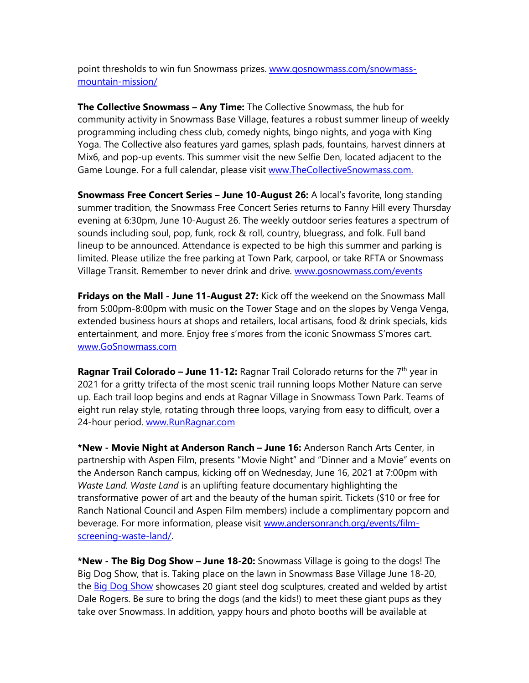point thresholds to win fun Snowmass prizes. [www.gosnowmass.com/snowmass](http://www.gosnowmass.com/snowmass-mountain-mission/)[mountain-mission/](http://www.gosnowmass.com/snowmass-mountain-mission/)

**The Collective Snowmass – Any Time:** The Collective Snowmass, the hub for community activity in Snowmass Base Village, features a robust summer lineup of weekly programming including chess club, comedy nights, bingo nights, and yoga with King Yoga. The Collective also features yard games, splash pads, fountains, harvest dinners at Mix6, and pop-up events. This summer visit the new Selfie Den, located adjacent to the Game Lounge. For a full calendar, please visit [www.TheCollectiveSnowmass.com.](http://www.thecollectivesnowmass.com/)

**Snowmass Free Concert Series – June 10-August 26:** A local's favorite, long standing summer tradition, the Snowmass Free Concert Series returns to Fanny Hill every Thursday evening at 6:30pm, June 10-August 26. The weekly outdoor series features a spectrum of sounds including soul, pop, funk, rock & roll, country, bluegrass, and folk. Full band lineup to be announced. Attendance is expected to be high this summer and parking is limited. Please utilize the free parking at Town Park, carpool, or take RFTA or Snowmass Village Transit. Remember to never drink and drive. [www.gosnowmass.com/events](http://www.gosnowmass.com/events)

**Fridays on the Mall - June 11-August 27:** Kick off the weekend on the Snowmass Mall from 5:00pm-8:00pm with music on the Tower Stage and on the slopes by Venga Venga, extended business hours at shops and retailers, local artisans, food & drink specials, kids entertainment, and more. Enjoy free s'mores from the iconic Snowmass S'mores cart. [www.GoSnowmass.com](http://www.gosnowmass.com/)

**Ragnar Trail Colorado – June 11-12:** Ragnar Trail Colorado returns for the 7<sup>th</sup> year in 2021 for a gritty trifecta of the most scenic trail running loops Mother Nature can serve up. Each trail loop begins and ends at Ragnar Village in Snowmass Town Park. Teams of eight run relay style, rotating through three loops, varying from easy to difficult, over a 24-hour period. [www.RunRagnar.com](http://www.runragnar.com/)

**\*New - Movie Night at Anderson Ranch – June 16:** Anderson Ranch Arts Center, in partnership with Aspen Film, presents "Movie Night" and "Dinner and a Movie" events on the Anderson Ranch campus, kicking off on Wednesday, June 16, 2021 at 7:00pm with *Waste Land. Waste Land* is an uplifting feature documentary highlighting the transformative power of art and the beauty of the human spirit. Tickets (\$10 or free for Ranch National Council and Aspen Film members) include a complimentary popcorn and beverage. For more information, please visit [www.andersonranch.org/events/film](http://www.andersonranch.org/events/film-screening-waste-land/)[screening-waste-land/.](http://www.andersonranch.org/events/film-screening-waste-land/)

**\*New - The Big Dog Show – June 18-20:** Snowmass Village is going to the dogs! The Big Dog Show, that is. Taking place on the lawn in Snowmass Base Village June 18-20, the **Big Dog Show** showcases 20 giant steel dog sculptures, created and welded by artist Dale Rogers. Be sure to bring the dogs (and the kids!) to meet these giant pups as they take over Snowmass. In addition, yappy hours and photo booths will be available at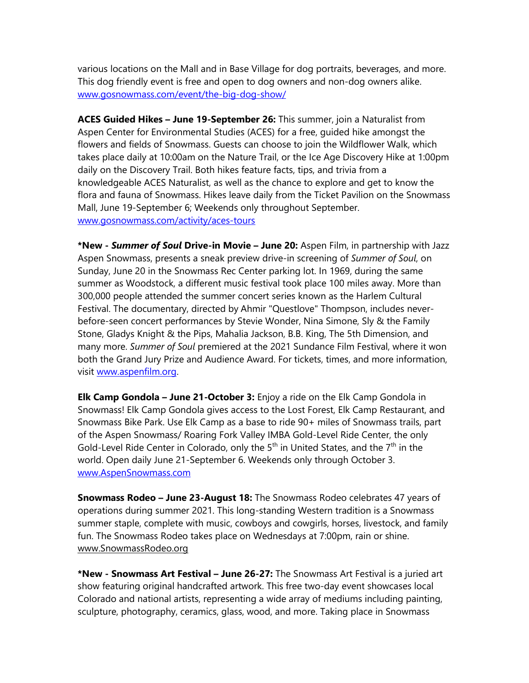various locations on the Mall and in Base Village for dog portraits, beverages, and more. This dog friendly event is free and open to dog owners and non-dog owners alike. [www.gosnowmass.com/event/the-big-dog-show/](http://www.gosnowmass.com/event/the-big-dog-show/)

**ACES Guided Hikes – June 19-September 26:** This summer, join a Naturalist from Aspen Center for Environmental Studies (ACES) for a free, guided hike amongst the flowers and fields of Snowmass. Guests can choose to join the Wildflower Walk, which takes place daily at 10:00am on the Nature Trail, or the Ice Age Discovery Hike at 1:00pm daily on the Discovery Trail. Both hikes feature facts, tips, and trivia from a knowledgeable ACES Naturalist, as well as the chance to explore and get to know the flora and fauna of Snowmass. Hikes leave daily from the Ticket Pavilion on the Snowmass Mall, June 19-September 6; Weekends only throughout September. [www.gosnowmass.com/activity/aces-tours](http://www.gosnowmass.com/activity/aces-tours)

**\*New -** *Summer of Soul* **Drive-in Movie – June 20:** Aspen Film, in partnership with Jazz Aspen Snowmass, presents a sneak preview drive-in screening of *Summer of Soul*, on Sunday, June 20 in the Snowmass Rec Center parking lot. In 1969, during the same summer as Woodstock, a different music festival took place 100 miles away. More than 300,000 people attended the summer concert series known as the Harlem Cultural Festival. The documentary, directed by Ahmir "Questlove" Thompson, includes neverbefore-seen concert performances by Stevie Wonder, Nina Simone, Sly & the Family Stone, Gladys Knight & the Pips, Mahalia Jackson, B.B. King, The 5th Dimension, and many more. *Summer of Soul* premiered at the 2021 Sundance Film Festival, where it won both the Grand Jury Prize and Audience Award. For tickets, times, and more information, visit [www.aspenfilm.org.](http://www.aspenfilm.org/) 

**Elk Camp Gondola – June 21-October 3:** Enjoy a ride on the Elk Camp Gondola in Snowmass! Elk Camp Gondola gives access to the Lost Forest, Elk Camp Restaurant, and Snowmass Bike Park. Use Elk Camp as a base to ride 90+ miles of Snowmass trails, part of the Aspen Snowmass/ Roaring Fork Valley IMBA Gold-Level Ride Center, the only Gold-Level Ride Center in Colorado, only the  $5<sup>th</sup>$  in United States, and the  $7<sup>th</sup>$  in the world. Open daily June 21-September 6. Weekends only through October 3. [www.AspenSnowmass.com](http://www.aspensnowmass.com/)

**Snowmass Rodeo – June 23-August 18:** The Snowmass Rodeo celebrates 47 years of operations during summer 2021. This long-standing Western tradition is a Snowmass summer staple, complete with music, cowboys and cowgirls, horses, livestock, and family fun. The Snowmass Rodeo takes place on Wednesdays at 7:00pm, rain or shine. [www.SnowmassRodeo.org](http://www.snowmassrodeo.org/) 

**\*New - Snowmass Art Festival – June 26-27:** The Snowmass Art Festival is a juried art show featuring original handcrafted artwork. This free two-day event showcases local Colorado and national artists, representing a wide array of mediums including painting, sculpture, photography, ceramics, glass, wood, and more. Taking place in Snowmass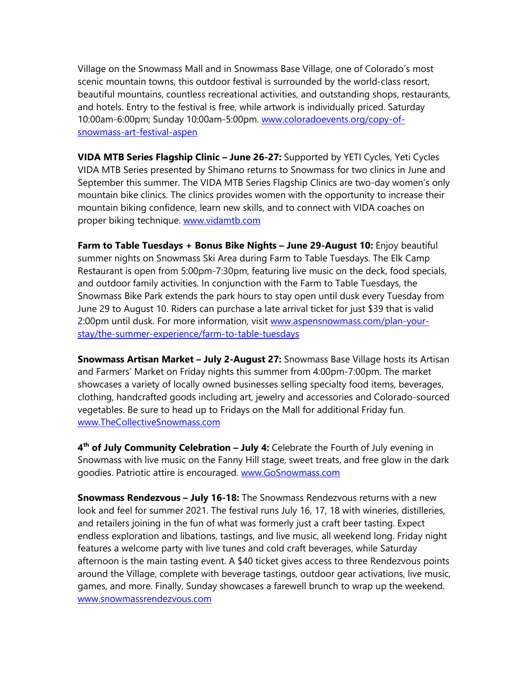Village on the Snowmass Mall and in Snowmass Base Village, one of Colorado's most scenic mountain towns, this outdoor festival is surrounded by the world-class resort, beautiful mountains, countless recreational activities, and outstanding shops, restaurants, and hotels. Entry to the festival is free, while artwork is individually priced. Saturday 10:00am-6:00pm; Sunday 10:00am-5:00pm. [www.coloradoevents.org/copy-of](http://www.coloradoevents.org/copy-of-snowmass-art-festival-aspen)[snowmass-art-festival-aspen](http://www.coloradoevents.org/copy-of-snowmass-art-festival-aspen)

**VIDA MTB Series Flagship Clinic – June 26-27:** Supported by YETI Cycles, Yeti Cycles VIDA MTB Series presented by Shimano returns to Snowmass for two clinics in June and September this summer. The VIDA MTB Series Flagship Clinics are two-day women's only mountain bike clinics. The clinics provides women with the opportunity to increase their mountain biking confidence, learn new skills, and to connect with VIDA coaches on proper biking technique. [www.vidamtb.com](http://www.vidamtb.com/)

**Farm to Table Tuesdays + Bonus Bike Nights – June 29-August 10:** Enjoy beautiful summer nights on Snowmass Ski Area during Farm to Table Tuesdays. The Elk Camp Restaurant is open from 5:00pm-7:30pm, featuring live music on the deck, food specials, and outdoor family activities. In conjunction with the Farm to Table Tuesdays, the Snowmass Bike Park extends the park hours to stay open until dusk every Tuesday from June 29 to August 10. Riders can purchase a late arrival ticket for just \$39 that is valid 2:00pm until dusk. For more information, visit [www.aspensnowmass.com/plan-your](https://www.aspensnowmass.com/plan-your-stay/the-summer-experience/farm-to-table-tuesdays)[stay/the-summer-experience/farm-to-table-tuesdays](https://www.aspensnowmass.com/plan-your-stay/the-summer-experience/farm-to-table-tuesdays)

**Snowmass Artisan Market – July 2-August 27:** Snowmass Base Village hosts its Artisan and Farmers' Market on Friday nights this summer from 4:00pm-7:00pm. The market showcases a variety of locally owned businesses selling specialty food items, beverages, clothing, handcrafted goods including art, jewelry and accessories and Colorado-sourced vegetables. Be sure to head up to Fridays on the Mall for additional Friday fun. [www.TheCollectiveSnowmass.com](http://www.thecollectivesnowmass.com/)

**4th of July Community Celebration – July 4:** Celebrate the Fourth of July evening in Snowmass with live music on the Fanny Hill stage, sweet treats, and free glow in the dark goodies. Patriotic attire is encouraged. www.GoSnowmass.com

**Snowmass Rendezvous – July 16-18:** The Snowmass Rendezvous returns with a new look and feel for summer 2021. The festival runs July 16, 17, 18 with wineries, distilleries, and retailers joining in the fun of what was formerly just a craft beer tasting. Expect endless exploration and libations, tastings, and live music, all weekend long. Friday night features a welcome party with live tunes and cold craft beverages, while Saturday afternoon is the main tasting event. A \$40 ticket gives access to three Rendezvous points around the Village, complete with beverage tastings, outdoor gear activations, live music, games, and more. Finally, Sunday showcases a farewell brunch to wrap up the weekend. [www.snowmassrendezvous.com](http://www.snowmassrendezvous.com/)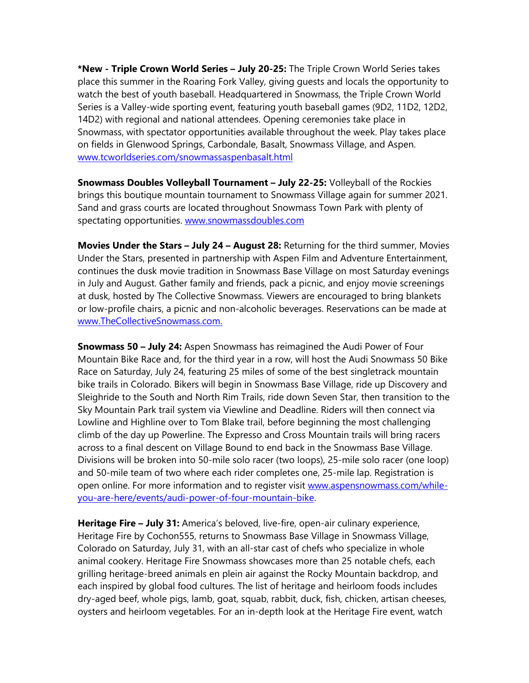**\*New - Triple Crown World Series – July 20-25:** The Triple Crown World Series takes place this summer in the Roaring Fork Valley, giving guests and locals the opportunity to watch the best of youth baseball. Headquartered in Snowmass, the Triple Crown World Series is a Valley-wide sporting event, featuring youth baseball games (9D2, 11D2, 12D2, 14D2) with regional and national attendees. Opening ceremonies take place in Snowmass, with spectator opportunities available throughout the week. Play takes place on fields in Glenwood Springs, Carbondale, Basalt, Snowmass Village, and Aspen. [www.tcworldseries.com/snowmassaspenbasalt.html](https://www.tcworldseries.com/snowmassaspenbasalt.html)

**Snowmass Doubles Volleyball Tournament – July 22-25:** Volleyball of the Rockies brings this boutique mountain tournament to Snowmass Village again for summer 2021. Sand and grass courts are located throughout Snowmass Town Park with plenty of spectating opportunities. [www.snowmassdoubles.com](http://www.snowmassdoubles.com/)

**Movies Under the Stars – July 24 – August 28:** Returning for the third summer, Movies Under the Stars, presented in partnership with Aspen Film and Adventure Entertainment, continues the dusk movie tradition in Snowmass Base Village on most Saturday evenings in July and August. Gather family and friends, pack a picnic, and enjoy movie screenings at dusk, hosted by The Collective Snowmass. Viewers are encouraged to bring blankets or low-profile chairs, a picnic and non-alcoholic beverages. Reservations can be made at [www.TheCollectiveSnowmass.com.](http://www.thecollectivesnowmass.com/)

**Snowmass 50 – July 24:** Aspen Snowmass has reimagined the Audi Power of Four Mountain Bike Race and, for the third year in a row, will host the Audi Snowmass 50 Bike Race on Saturday, July 24, featuring 25 miles of some of the best singletrack mountain bike trails in Colorado. Bikers will begin in Snowmass Base Village, ride up Discovery and Sleighride to the South and North Rim Trails, ride down Seven Star, then transition to the Sky Mountain Park trail system via Viewline and Deadline. Riders will then connect via Lowline and Highline over to Tom Blake trail, before beginning the most challenging climb of the day up Powerline. The Expresso and Cross Mountain trails will bring racers across to a final descent on Village Bound to end back in the Snowmass Base Village. Divisions will be broken into 50-mile solo racer (two loops), 25-mile solo racer (one loop) and 50-mile team of two where each rider completes one, 25-mile lap. Registration is open online. For more information and to register visit [www.aspensnowmass.com/while](http://www.aspensnowmass.com/while-you-are-here/events/audi-power-of-four-mountain-bike)[you-are-here/events/audi-power-of-four-mountain-bike.](http://www.aspensnowmass.com/while-you-are-here/events/audi-power-of-four-mountain-bike)

**Heritage Fire – July 31:** America's beloved, live-fire, open-air culinary experience, Heritage Fire by Cochon555, returns to Snowmass Base Village in Snowmass Village, Colorado on Saturday, July 31, with an all-star cast of chefs who specialize in whole animal cookery. Heritage Fire Snowmass showcases more than 25 notable chefs, each grilling heritage-breed animals en plein air against the Rocky Mountain backdrop, and each inspired by global food cultures. The list of heritage and heirloom foods includes dry-aged beef, whole pigs, lamb, goat, squab, rabbit, duck, fish, chicken, artisan cheeses, oysters and heirloom vegetables. For an in-depth look at the Heritage Fire event, watch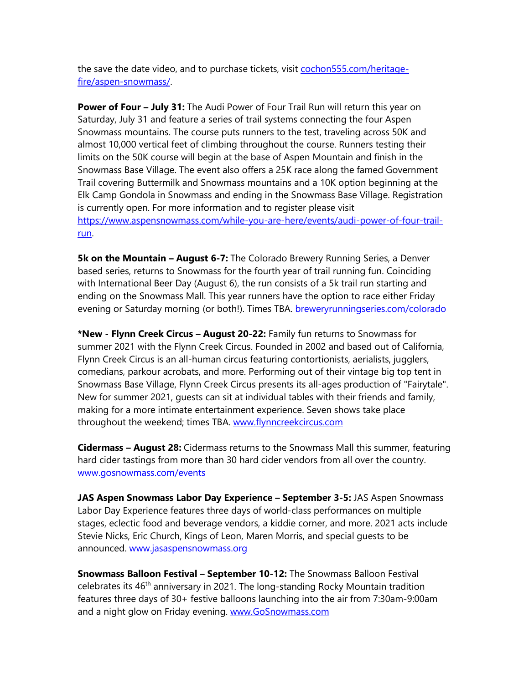the save the date video, and to purchase tickets, visit [cochon555.com/heritage](http://www.cochon555.com/heritage-fire/aspen-snowmass/)[fire/aspen-snowmass/.](http://www.cochon555.com/heritage-fire/aspen-snowmass/)

**Power of Four – July 31:** The Audi Power of Four Trail Run will return this year on Saturday, July 31 and feature a series of trail systems connecting the four Aspen Snowmass mountains. The course puts runners to the test, traveling across 50K and almost 10,000 vertical feet of climbing throughout the course. Runners testing their limits on the 50K course will begin at the base of Aspen Mountain and finish in the Snowmass Base Village. The event also offers a 25K race along the famed Government Trail covering Buttermilk and Snowmass mountains and a 10K option beginning at the Elk Camp Gondola in Snowmass and ending in the Snowmass Base Village. Registration is currently open. For more information and to register please visit [https://www.aspensnowmass.com/while-you-are-here/events/audi-power-of-four-trail](https://www.aspensnowmass.com/while-you-are-here/events/audi-power-of-four-trail-run)[run.](https://www.aspensnowmass.com/while-you-are-here/events/audi-power-of-four-trail-run)

**5k on the Mountain – August 6-7:** The Colorado Brewery Running Series, a Denver based series, returns to Snowmass for the fourth year of trail running fun. Coinciding with International Beer Day (August 6), the run consists of a 5k trail run starting and ending on the Snowmass Mall. This year runners have the option to race either Friday evening or Saturday morning (or both!). Times TBA. [breweryrunningseries.com/colorado](https://breweryrunningseries.com/colorado/)

**\*New - Flynn Creek Circus – August 20-22:** Family fun returns to Snowmass for summer 2021 with the Flynn Creek Circus. Founded in 2002 and based out of California, Flynn Creek Circus is an all-human circus featuring contortionists, aerialists, jugglers, comedians, parkour acrobats, and more. Performing out of their vintage big top tent in Snowmass Base Village, Flynn Creek Circus presents its all-ages production of "Fairytale". New for summer 2021, guests can sit at individual tables with their friends and family, making for a more intimate entertainment experience. Seven shows take place throughout the weekend; times TBA. [www.flynncreekcircus.com](http://www.flynncreekcircus.com/)

**Cidermass – August 28:** Cidermass returns to the Snowmass Mall this summer, featuring hard cider tastings from more than 30 hard cider vendors from all over the country. [www.gosnowmass.com/events](http://www.gosnowmass.com/events)

**JAS Aspen Snowmass Labor Day Experience – September 3-5:** JAS Aspen Snowmass Labor Day Experience features three days of world-class performances on multiple stages, eclectic food and beverage vendors, a kiddie corner, and more. 2021 acts include Stevie Nicks, Eric Church, Kings of Leon, Maren Morris, and special guests to be announced. [www.jasaspensnowmass.org](http://www.jasaspensnowmass.org/)

**Snowmass Balloon Festival – September 10-12:** The Snowmass Balloon Festival celebrates its  $46<sup>th</sup>$  anniversary in 2021. The long-standing Rocky Mountain tradition features three days of 30+ festive balloons launching into the air from 7:30am-9:00am and a night glow on Friday evening. [www.GoSnowmass.com](http://www.gosnowmass.com/)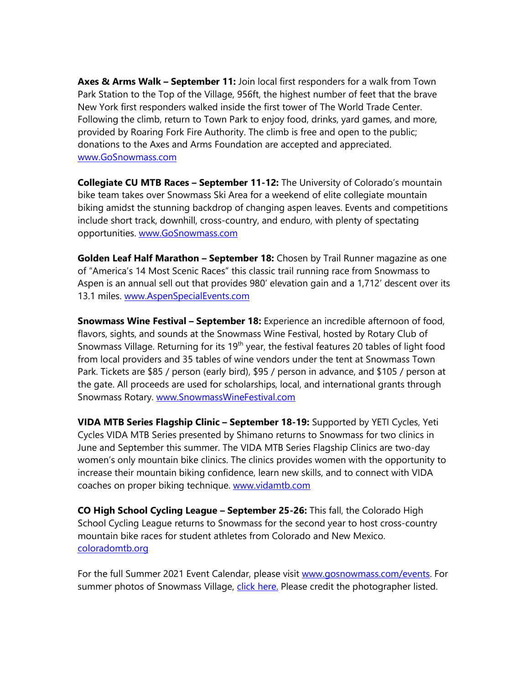**Axes & Arms Walk – September 11:** Join local first responders for a walk from Town Park Station to the Top of the Village, 956ft, the highest number of feet that the brave New York first responders walked inside the first tower of The World Trade Center. Following the climb, return to Town Park to enjoy food, drinks, yard games, and more, provided by Roaring Fork Fire Authority. The climb is free and open to the public; donations to the Axes and Arms Foundation are accepted and appreciated. [www.GoSnowmass.com](http://www.gosnowmass.com/)

**Collegiate CU MTB Races – September 11-12:** The University of Colorado's mountain bike team takes over Snowmass Ski Area for a weekend of elite collegiate mountain biking amidst the stunning backdrop of changing aspen leaves. Events and competitions include short track, downhill, cross-country, and enduro, with plenty of spectating opportunities. [www.GoSnowmass.com](http://www.gosnowmass.com/)

**Golden Leaf Half Marathon – September 18:** Chosen by Trail Runner magazine as one of "America's 14 Most Scenic Races" this classic trail running race from Snowmass to Aspen is an annual sell out that provides 980' elevation gain and a 1,712' descent over its 13.1 miles. [www.AspenSpecialEvents.com](http://www.aspenspecialevents.com/)

**Snowmass Wine Festival – September 18:** Experience an incredible afternoon of food, flavors, sights, and sounds at the Snowmass Wine Festival, hosted by Rotary Club of Snowmass Village. Returning for its  $19<sup>th</sup>$  year, the festival features 20 tables of light food from local providers and 35 tables of wine vendors under the tent at Snowmass Town Park. Tickets are \$85 / person (early bird), \$95 / person in advance, and \$105 / person at the gate. All proceeds are used for scholarships, local, and international grants through Snowmass Rotary. [www.SnowmassWineFestival.com](http://www.snowmasswinefestival.com/)

**VIDA MTB Series Flagship Clinic – September 18-19:** Supported by YETI Cycles, Yeti Cycles VIDA MTB Series presented by Shimano returns to Snowmass for two clinics in June and September this summer. The VIDA MTB Series Flagship Clinics are two-day women's only mountain bike clinics. The clinics provides women with the opportunity to increase their mountain biking confidence, learn new skills, and to connect with VIDA coaches on proper biking technique. [www.vidamtb.com](http://www.vidamtb.com/)

**CO High School Cycling League – September 25-26:** This fall, the Colorado High School Cycling League returns to Snowmass for the second year to host cross-country mountain bike races for student athletes from Colorado and New Mexico. [coloradomtb.org](https://coloradomtb.org/)

For the full Summer 2021 Event Calendar, please visit [www.gosnowmass.com/events.](http://www.gosnowmass.com/events) For summer photos of Snowmass Village, [click here.](https://snowmasstourism.imagerelay.com/sb/a798f377-fc96-46c0-88b7-03439a4a78f1/snowmass-summer-2021-collection) Please credit the photographer listed.